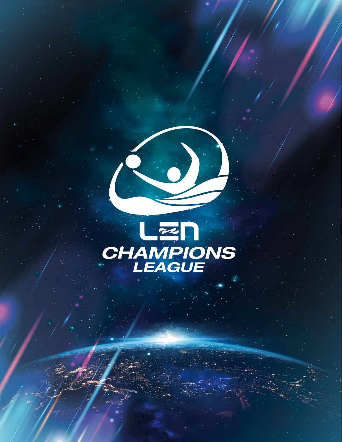

*GUIDELINES*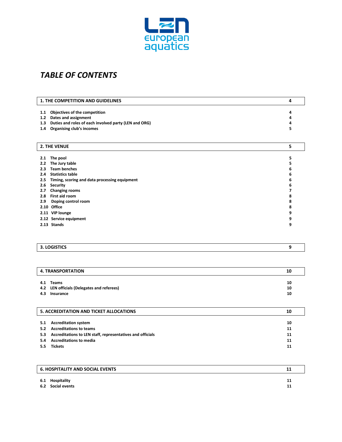

# *TABLE OF CONTENTS*

| 1. THE COMPETITION AND GUIDELINES<br>4 |                                                       |   |
|----------------------------------------|-------------------------------------------------------|---|
|                                        |                                                       |   |
| 1.1                                    | Objectives of the competition                         | 4 |
| 1.2                                    | Dates and assignment                                  | 4 |
| 1.3                                    | Duties and roles of each involved party (LEN and ORG) | 4 |
| 1.4                                    | <b>Organising club's incomes</b>                      | 5 |
|                                        |                                                       |   |
|                                        | 2. THE VENUE                                          | 5 |
| 2.1                                    | The pool                                              | 5 |
| 2.2                                    | The Jury table                                        | 5 |
| 2.3                                    | <b>Team benches</b>                                   |   |
|                                        |                                                       | 6 |
| 2.4                                    | <b>Statistics table</b>                               | 6 |
| 2.5                                    | Timing, scoring and data processing equipment         | 6 |
| 2.6                                    | Security                                              | 6 |
| 2.7                                    | <b>Changing rooms</b>                                 | 7 |
| 2.8                                    | First aid room                                        | 8 |
| 2.9                                    | Doping control room                                   | 8 |
|                                        | 2.10 Office                                           | 8 |
|                                        | 2.11 VIP lounge                                       | 9 |
|                                        | 2.12 Service equipment                                | 9 |
|                                        | 2.13 Stands                                           | 9 |
|                                        |                                                       |   |

| <b>3. LOGISTICS</b> |  |
|---------------------|--|
|                     |  |

| <b>4. TRANSPORTATION</b><br>10 |                                                            |    |
|--------------------------------|------------------------------------------------------------|----|
| 4.1                            | Teams                                                      | 10 |
| 4.2                            | LEN officials (Delegates and referees)                     | 10 |
| 4.3                            | Insurance                                                  | 10 |
|                                | <b>5. ACCREDITATION AND TICKET ALLOCATIONS</b>             | 10 |
| 5.1                            | <b>Accreditation system</b>                                | 10 |
|                                |                                                            |    |
| 5.2                            | <b>Accreditations to teams</b>                             | 11 |
| 5.3                            | Accreditations to LEN staff, representatives and officials | 11 |
| 5.4                            | <b>Accreditations to media</b>                             | 11 |

**5.5 Tickets 11**

|     | <b>6. HOSPITALITY AND SOCIAL EVENTS</b> | ᆚ        |
|-----|-----------------------------------------|----------|
| 6.2 | 6.1 Hospitality<br>Social events        | 11<br>11 |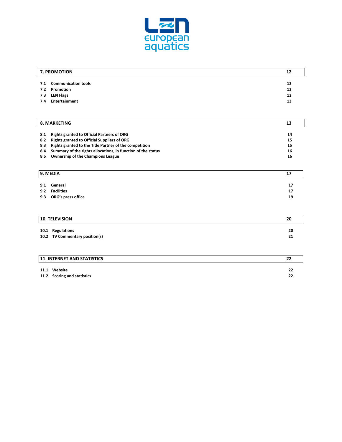

|     | 7. PROMOTION            | 12 |
|-----|-------------------------|----|
|     | 7.1 Communication tools | 12 |
| 7.2 | Promotion               | 12 |
| 7.3 | <b>LEN Flags</b>        | 12 |
| 7.4 | Entertainment           | 13 |

| 8. MARKETING |                                                              | 13 |
|--------------|--------------------------------------------------------------|----|
| 8.1          | <b>Rights granted to Official Partners of ORG</b>            | 14 |
| 8.2          | <b>Rights granted to Official Suppliers of ORG</b>           | 15 |
| 8.3          | Rights granted to the Title Partner of the competition       | 15 |
| 8.4          | Summary of the rights allocations, in function of the status | 16 |
| 8.5          | <b>Ownership of the Champions League</b>                     | 16 |

| 9. MEDIA               |    |
|------------------------|----|
| 9.1 General            | 17 |
| 9.2 Facilities         | 17 |
| 9.3 ORG's press office | 19 |

| <b>10. TELEVISION</b>                              | 20       |
|----------------------------------------------------|----------|
| 10.1 Regulations<br>10.2 TV Commentary position(s) | 20<br>21 |

| <b>11. INTERNET AND STATISTICS</b>          |          |
|---------------------------------------------|----------|
| 11.1 Website<br>11.2 Scoring and statistics | 22<br>22 |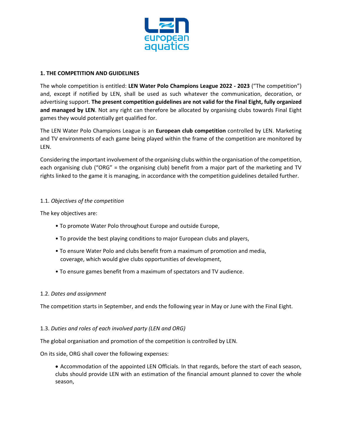

## **1. THE COMPETITION AND GUIDELINES**

The whole competition is entitled: **LEN Water Polo Champions League 2022 - 2023** ("The competition") and, except if notified by LEN, shall be used as such whatever the communication, decoration, or advertising support. **The present competition guidelines are not valid for the Final Eight, fully organized and managed by LEN**. Not any right can therefore be allocated by organising clubs towards Final Eight games they would potentially get qualified for.

The LEN Water Polo Champions League is an **European club competition** controlled by LEN. Marketing and TV environments of each game being played within the frame of the competition are monitored by LEN.

Considering the important involvement of the organising clubs within the organisation of the competition, each organising club ("ORG" = the organising club) benefit from a major part of the marketing and TV rights linked to the game it is managing, in accordance with the competition guidelines detailed further.

# 1.1. *Objectives of the competition*

The key objectives are:

- To promote Water Polo throughout Europe and outside Europe,
- To provide the best playing conditions to major European clubs and players,
- To ensure Water Polo and clubs benefit from a maximum of promotion and media, coverage, which would give clubs opportunities of development,
- To ensure games benefit from a maximum of spectators and TV audience.

#### 1.2. *Dates and assignment*

The competition starts in September, and ends the following year in May or June with the Final Eight.

#### 1.3. *Duties and roles of each involved party (LEN and ORG)*

The global organisation and promotion of the competition is controlled by LEN.

On its side, ORG shall cover the following expenses:

• Accommodation of the appointed LEN Officials. In that regards, before the start of each season, clubs should provide LEN with an estimation of the financial amount planned to cover the whole season,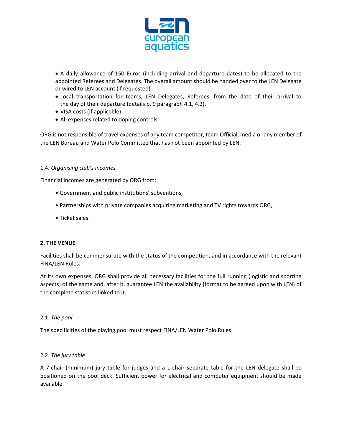

• A daily allowance of 150 Euros (including arrival and departure dates) to be allocated to the appointed Referees and Delegates. The overall amount should be handed over to the LEN Delegate or wired to LEN account (if requested).

- Local transportation for teams, LEN Delegates, Referees, from the date of their arrival to the day of their departure (details p. 9 paragraph 4.1, 4.2).
- VISA costs (if applicable)
- All expenses related to doping controls.

ORG is not responsible of travel expenses of any team competitor, team Official, media or any member of the LEN Bureau and Water Polo Committee that has not been appointed by LEN.

#### 1.4. *Organising club's incomes*

Financial incomes are generated by ORG from:

- Government and public institutions' subventions,
- Partnerships with private companies acquiring marketing and TV rights towards ORG,
- Ticket sales.

#### **2. THE VENUE**

Facilities shall be commensurate with the status of the competition, and in accordance with the relevant FINA/LEN Rules.

At its own expenses, ORG shall provide all necessary facilities for the full running (logistic and sporting aspects) of the game and, after it, guarantee LEN the availability (format to be agreed upon with LEN) of the complete statistics linked to it.

#### 2.1. *The pool*

The specificities of the playing pool must respect FINA/LEN Water Polo Rules.

#### 2.2. *The jury table*

A 7-chair (minimum) jury table for judges and a 1-chair separate table for the LEN delegate shall be positioned on the pool deck. Sufficient power for electrical and computer equipment should be made available.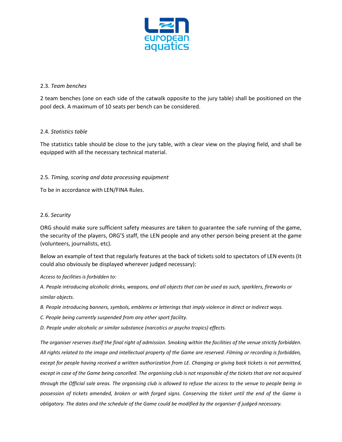

## 2.3. *Team benches*

2 team benches (one on each side of the catwalk opposite to the jury table) shall be positioned on the pool deck. A maximum of 10 seats per bench can be considered.

# 2.4. *Statistics table*

The statistics table should be close to the jury table, with a clear view on the playing field, and shall be equipped with all the necessary technical material.

# 2.5. *Timing, scoring and data processing equipment*

To be in accordance with LEN/FINA Rules.

# 2.6. *Security*

ORG should make sure sufficient safety measures are taken to guarantee the safe running of the game, the security of the players, ORG'S staff, the LEN people and any other person being present at the game (volunteers, journalists, etc).

Below an example of text that regularly features at the back of tickets sold to spectators of LEN events (It could also obviously be displayed wherever judged necessary):

*Access to facilities is forbidden to:*

*A. People introducing alcoholic drinks, weapons, and all objects that can be used as such, sparklers, fireworks or similar objects.*

*B. People introducing banners, symbols, emblems or letterings that imply violence in direct or indirect ways.* 

*C. People being currently suspended from any other sport facility.*

*D. People under alcoholic or similar substance (narcotics or psycho tropics) effects.*

*The organiser reserves itself the final right of admission. Smoking within the facilities of the venue strictly forbidden. All rights related to the image and intellectual property of the Game are reserved. Filming or recording is forbidden, except for people having received a written authorization from LE. Changing or giving back tickets is not permitted, except in case of the Game being cancelled. The organising club is not responsible of the tickets that are not acquired through the Official sale areas. The organising club is allowed to refuse the access to the venue to people being in possession of tickets amended, broken or with forged signs. Conserving the ticket until the end of the Game is obligatory. The dates and the schedule of the Game could be modified by the organiser if judged necessary.*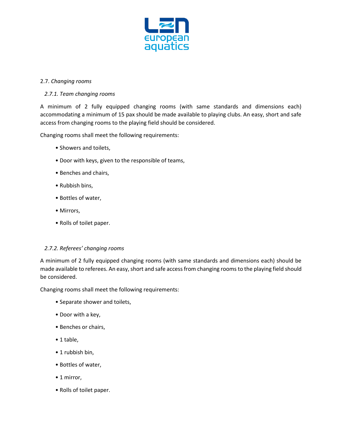

# 2.7. *Changing rooms*

# *2.7.1. Team changing rooms*

A minimum of 2 fully equipped changing rooms (with same standards and dimensions each) accommodating a minimum of 15 pax should be made available to playing clubs. An easy, short and safe access from changing rooms to the playing field should be considered.

Changing rooms shall meet the following requirements:

- Showers and toilets,
- Door with keys, given to the responsible of teams,
- Benches and chairs,
- Rubbish bins,
- Bottles of water,
- Mirrors,
- Rolls of toilet paper.

#### *2.7.2. Referees' changing rooms*

A minimum of 2 fully equipped changing rooms (with same standards and dimensions each) should be made available to referees. An easy, short and safe access from changing rooms to the playing field should be considered.

Changing rooms shall meet the following requirements:

- Separate shower and toilets,
- Door with a key,
- Benches or chairs,
- 1 table,
- 1 rubbish bin,
- Bottles of water,
- 1 mirror,
- Rolls of toilet paper.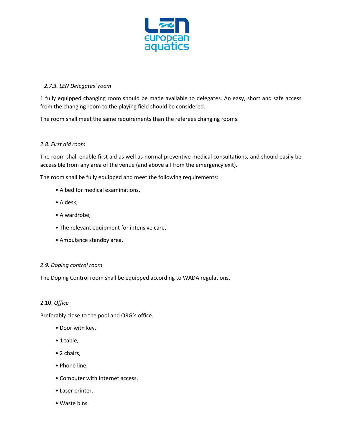

# *2.7.3. LEN Delegates' room*

1 fully equipped changing room should be made available to delegates. An easy, short and safe access from the changing room to the playing field should be considered.

The room shall meet the same requirements than the referees changing rooms.

# *2.8. First aid room*

The room shall enable first aid as well as normal preventive medical consultations, and should easily be accessible from any area of the venue (and above all from the emergency exit).

The room shall be fully equipped and meet the following requirements:

- A bed for medical examinations,
- A desk,
- A wardrobe,
- The relevant equipment for intensive care,
- Ambulance standby area.

#### *2.9. Doping control room*

The Doping Control room shall be equipped according to WADA regulations.

#### 2.10. *Office*

Preferably close to the pool and ORG's office.

- Door with key,
- 1 table,
- 2 chairs,
- Phone line,
- Computer with Internet access,
- Laser printer,
- Waste bins.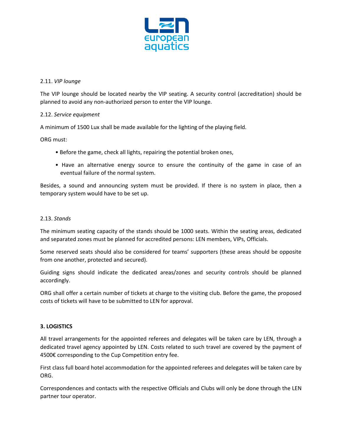

# 2.11. *VIP lounge*

The VIP lounge should be located nearby the VIP seating. A security control (accreditation) should be planned to avoid any non-authorized person to enter the VIP lounge.

# 2.12. *Service equipment*

A minimum of 1500 Lux shall be made available for the lighting of the playing field.

ORG must:

- Before the game, check all lights, repairing the potential broken ones,
- Have an alternative energy source to ensure the continuity of the game in case of an eventual failure of the normal system.

Besides, a sound and announcing system must be provided. If there is no system in place, then a temporary system would have to be set up.

#### 2.13. *Stands*

The minimum seating capacity of the stands should be 1000 seats. Within the seating areas, dedicated and separated zones must be planned for accredited persons: LEN members, VIPs, Officials.

Some reserved seats should also be considered for teams' supporters (these areas should be opposite from one another, protected and secured).

Guiding signs should indicate the dedicated areas/zones and security controls should be planned accordingly.

ORG shall offer a certain number of tickets at charge to the visiting club. Before the game, the proposed costs of tickets will have to be submitted to LEN for approval.

#### **3. LOGISTICS**

All travel arrangements for the appointed referees and delegates will be taken care by LEN, through a dedicated travel agency appointed by LEN. Costs related to such travel are covered by the payment of 4500€ corresponding to the Cup Competition entry fee.

First class full board hotel accommodation for the appointed referees and delegates will be taken care by ORG.

Correspondences and contacts with the respective Officials and Clubs will only be done through the LEN partner tour operator.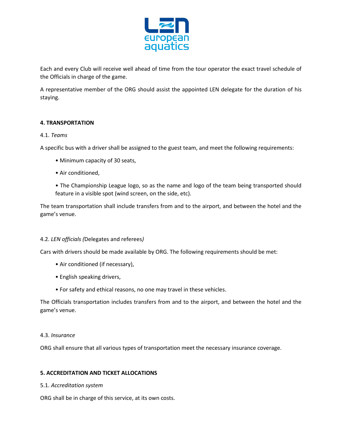

Each and every Club will receive well ahead of time from the tour operator the exact travel schedule of the Officials in charge of the game.

A representative member of the ORG should assist the appointed LEN delegate for the duration of his staying.

# **4. TRANSPORTATION**

#### 4.1. *Teams*

A specific bus with a driver shall be assigned to the guest team, and meet the following requirements:

- Minimum capacity of 30 seats,
- Air conditioned,
- The Championship League logo, so as the name and logo of the team being transported should feature in a visible spot (wind screen, on the side, etc).

The team transportation shall include transfers from and to the airport, and between the hotel and the game's venue.

# 4.2. *LEN officials (*Delegates and referees*)*

Cars with drivers should be made available by ORG. The following requirements should be met:

- Air conditioned (if necessary),
- English speaking drivers,
- For safety and ethical reasons, no one may travel in these vehicles.

The Officials transportation includes transfers from and to the airport, and between the hotel and the game's venue.

#### 4.3. *Insurance*

ORG shall ensure that all various types of transportation meet the necessary insurance coverage.

#### **5. ACCREDITATION AND TICKET ALLOCATIONS**

#### 5.1. *Accreditation system*

ORG shall be in charge of this service, at its own costs.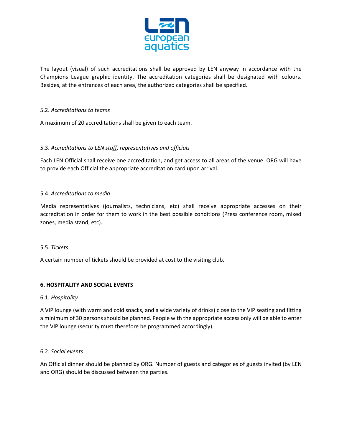

The layout (visual) of such accreditations shall be approved by LEN anyway in accordance with the Champions League graphic identity. The accreditation categories shall be designated with colours. Besides, at the entrances of each area, the authorized categories shall be specified.

# 5.2. *Accreditations to teams*

A maximum of 20 accreditations shall be given to each team.

# 5.3. *Accreditations to LEN staff, representatives and officials*

Each LEN Official shall receive one accreditation, and get access to all areas of the venue. ORG will have to provide each Official the appropriate accreditation card upon arrival.

#### 5.4. *Accreditations to media*

Media representatives (journalists, technicians, etc) shall receive appropriate accesses on their accreditation in order for them to work in the best possible conditions (Press conference room, mixed zones, media stand, etc).

#### 5.5. *Tickets*

A certain number of tickets should be provided at cost to the visiting club.

#### **6. HOSPITALITY AND SOCIAL EVENTS**

#### 6.1. *Hospitality*

A VIP lounge (with warm and cold snacks, and a wide variety of drinks) close to the VIP seating and fitting a minimum of 30 persons should be planned. People with the appropriate access only will be able to enter the VIP lounge (security must therefore be programmed accordingly).

#### 6.2. *Social events*

An Official dinner should be planned by ORG. Number of guests and categories of guests invited (by LEN and ORG) should be discussed between the parties.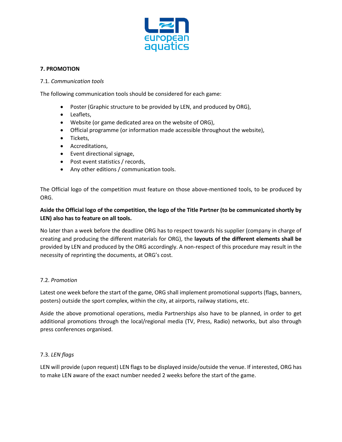

# **7. PROMOTION**

#### 7.1. *Communication tools*

The following communication tools should be considered for each game:

- Poster (Graphic structure to be provided by LEN, and produced by ORG),
- Leaflets,
- Website (or game dedicated area on the website of ORG),
- Official programme (or information made accessible throughout the website),
- Tickets,
- Accreditations,
- Event directional signage,
- Post event statistics / records,
- Any other editions / communication tools.

The Official logo of the competition must feature on those above-mentioned tools, to be produced by ORG.

# **Aside the Official logo of the competition, the logo of the Title Partner (to be communicated shortly by LEN) also has to feature on all tools.**

No later than a week before the deadline ORG has to respect towards his supplier (company in charge of creating and producing the different materials for ORG), the **layouts of the different elements shall be**  provided by LEN and produced by the ORG accordingly. A non-respect of this procedure may result in the necessity of reprinting the documents, at ORG's cost.

#### 7.2. *Promotion*

Latest one week before the start of the game, ORG shall implement promotional supports (flags, banners, posters) outside the sport complex, within the city, at airports, railway stations, etc.

Aside the above promotional operations, media Partnerships also have to be planned, in order to get additional promotions through the local/regional media (TV, Press, Radio) networks, but also through press conferences organised.

#### 7.3. *LEN flags*

LEN will provide (upon request) LEN flags to be displayed inside/outside the venue. If interested, ORG has to make LEN aware of the exact number needed 2 weeks before the start of the game.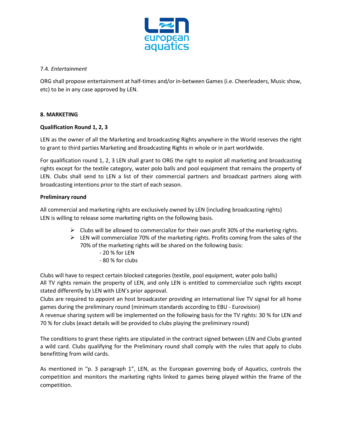

# 7.4. *Entertainment*

ORG shall propose entertainment at half-times and/or in-between Games (i.e. Cheerleaders, Music show, etc) to be in any case approved by LEN.

# **8. MARKETING**

# **Qualification Round 1, 2, 3**

LEN as the owner of all the Marketing and broadcasting Rights anywhere in the World reserves the right to grant to third parties Marketing and Broadcasting Rights in whole or in part worldwide.

For qualification round 1, 2, 3 LEN shall grant to ORG the right to exploit all marketing and broadcasting rights except for the textile category, water polo balls and pool equipment that remains the property of LEN. Clubs shall send to LEN a list of their commercial partners and broadcast partners along with broadcasting intentions prior to the start of each season.

#### **Preliminary round**

All commercial and marketing rights are exclusively owned by LEN (including broadcasting rights) LEN is willing to release some marketing rights on the following basis.

- $\triangleright$  Clubs will be allowed to commercialize for their own profit 30% of the marketing rights.
- $\triangleright$  LEN will commercialize 70% of the marketing rights. Profits coming from the sales of the 70% of the marketing rights will be shared on the following basis:
	- 20 % for LEN
	- 80 % for clubs

Clubs will have to respect certain blocked categories (textile, pool equipment, water polo balls) All TV rights remain the property of LEN, and only LEN is entitled to commercialize such rights except stated differently by LEN with LEN's prior approval.

Clubs are required to appoint an host broadcaster providing an international live TV signal for all home games during the preliminary round (minimum standards according to EBU - Eurovision) A revenue sharing system will be implemented on the following basis for the TV rights: 30 % for LEN and 70 % for clubs (exact details will be provided to clubs playing the preliminary round)

The conditions to grant these rights are stipulated in the contract signed between LEN and Clubs granted a wild card. Clubs qualifying for the Preliminary round shall comply with the rules that apply to clubs benefitting from wild cards.

As mentioned in "p. 3 paragraph 1", LEN, as the European governing body of Aquatics, controls the competition and monitors the marketing rights linked to games being played within the frame of the competition.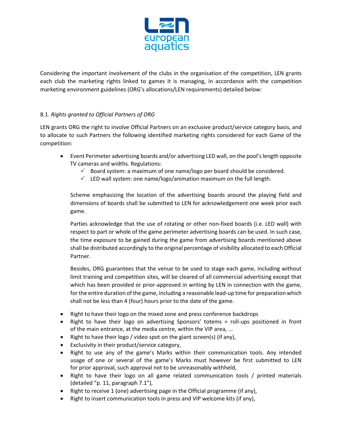

Considering the important involvement of the clubs in the organisation of the competition, LEN grants each club the marketing rights linked to games it is managing, in accordance with the competition marketing environment guidelines (ORG's allocations/LEN requirements) detailed below:

# 8.1. *Rights granted to Official Partners of ORG*

LEN grants ORG the right to involve Official Partners on an exclusive product/service category basis, and to allocate to such Partners the following identified marketing rights considered for each Game of the competition:

- Event Perimeter advertising boards and/or advertising LED wall, on the pool's length opposite TV cameras and widths. Regulations:
	- $\checkmark$  Board system: a maximum of one name/logo per board should be considered.
	- $\checkmark$  LED wall system: one name/logo/animation maximum on the full length.

Scheme emphasizing the location of the advertising boards around the playing field and dimensions of boards shall be submitted to LEN for acknowledgement one week prior each game.

Parties acknowledge that the use of rotating or other non-fixed boards (i.e. LED wall) with respect to part or whole of the game perimeter advertising boards can be used. In such case, the time exposure to be gained during the game from advertising boards mentioned above shall be distributed accordingly to the original percentage of visibility allocated to each Official Partner.

Besides, ORG guarantees that the venue to be used to stage each game, including without limit training and competition sites, will be cleared of all commercial advertising except that which has been provided or prior-approved in writing by LEN in connection with the game, for the entire duration of the game, including a reasonable lead-up time for preparation which shall not be less than 4 (four) hours prior to the date of the game.

- Right to have their logo on the mixed zone and press conference backdrops
- Right to have their logo on advertising Sponsors' totems = roll-ups positioned in front of the main entrance, at the media centre, within the VIP area, ...
- Right to have their logo / video spot on the giant screen(s) (if any),
- Exclusivity in their product/service category,
- Right to use any of the game's Marks within their communication tools. Any intended usage of one or several of the game's Marks must however be first submitted to LEN for prior approval, such approval not to be unreasonably withheld,
- Right to have their logo on all game related communication tools / printed materials (detailed "p. 11, paragraph 7.1"),
- Right to receive 1 (one) advertising page in the Official programme (if any),
- Right to insert communication tools in press and VIP welcome kits (if any),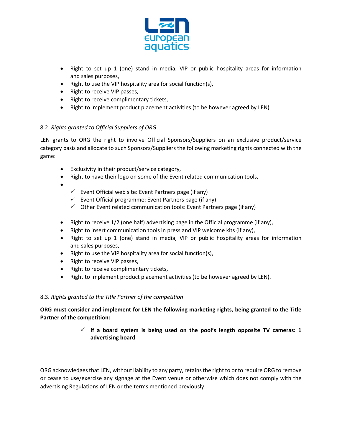

- Right to set up 1 (one) stand in media, VIP or public hospitality areas for information and sales purposes,
- Right to use the VIP hospitality area for social function(s),
- Right to receive VIP passes,
- Right to receive complimentary tickets,
- Right to implement product placement activities (to be however agreed by LEN).

# 8.2. *Rights granted to Official Suppliers of ORG*

LEN grants to ORG the right to involve Official Sponsors/Suppliers on an exclusive product/service category basis and allocate to such Sponsors/Suppliers the following marketing rights connected with the game:

- Exclusivity in their product/service category,
- Right to have their logo on some of the Event related communication tools,
- •
- $\checkmark$  Event Official web site: Event Partners page (if any)
- $\checkmark$  Event Official programme: Event Partners page (if any)
- $\checkmark$  Other Event related communication tools: Event Partners page (if any)
- Right to receive 1/2 (one half) advertising page in the Official programme (if any),
- Right to insert communication tools in press and VIP welcome kits (if any),
- Right to set up 1 (one) stand in media, VIP or public hospitality areas for information and sales purposes,
- Right to use the VIP hospitality area for social function(s),
- Right to receive VIP passes,
- Right to receive complimentary tickets,
- Right to implement product placement activities (to be however agreed by LEN).

#### 8.3. *Rights granted to the Title Partner of the competition*

**ORG must consider and implement for LEN the following marketing rights, being granted to the Title Partner of the competition:**

> **If a board system is being used on the pool's length opposite TV cameras: 1 advertising board**

ORG acknowledges that LEN, without liability to any party, retains the right to or to require ORG to remove or cease to use/exercise any signage at the Event venue or otherwise which does not comply with the advertising Regulations of LEN or the terms mentioned previously.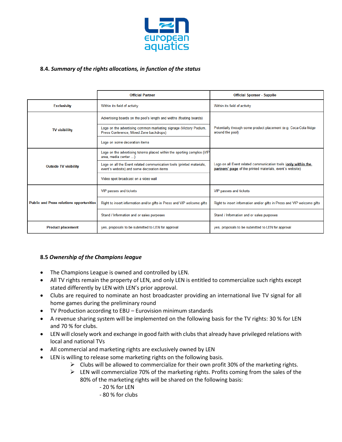

# **8.4.** *Summary of the rights allocations, in function of the status*

|                                                 | <b>Official Partner</b>                                                                                             | <b>Official Sponsor - Supplier</b>                                                                                          |
|-------------------------------------------------|---------------------------------------------------------------------------------------------------------------------|-----------------------------------------------------------------------------------------------------------------------------|
| <b>Exclusivity</b>                              | Within its field of activity                                                                                        | Within its field of activity                                                                                                |
|                                                 | Advertising boards on the pool's length and widths (floating boards)                                                |                                                                                                                             |
| <b>TV visibililty</b>                           | Logo on the advertising common marketing signage (Victory Podium,<br>Press Conference, Mixed Zone backdrops)        | Potentially through some product placement (e.g. Coca-Cola fridge<br>around the pool)                                       |
|                                                 | Logo on some decoration items                                                                                       |                                                                                                                             |
|                                                 | Logo on the advertising totems placed within the sporting complex (VIP<br>area, media center )                      |                                                                                                                             |
| <b>Outside TV visibility</b>                    | Logo on all the Event related communication tools (printed materials,<br>event's website) and some decoration items | Logo on all Event related communication tools (only within the<br>partners' page of the printed materials, event's website) |
|                                                 | Video spot broadcast on a video wall                                                                                |                                                                                                                             |
|                                                 | VIP passes and tickets                                                                                              | VIP passes and tickets                                                                                                      |
| <b>Public and Press relations opportunities</b> | Right to insert information and/or gifts in Press and VIP welcome gifts                                             | Right to insert information and/or gifts in Press and VIP welcome gifts                                                     |
|                                                 | Stand / Information and or sales purposes                                                                           | Stand / Information and or sales purposes                                                                                   |
| <b>Product placement</b>                        | yes, proposals to be submitted to LEN for approval                                                                  | yes, proposals to be submitted to LEN for approval                                                                          |

#### **8.5** *Ownership of the Champions league*

- The Champions League is owned and controlled by LEN.
- All TV rights remain the property of LEN, and only LEN is entitled to commercialize such rights except stated differently by LEN with LEN's prior approval.
- Clubs are required to nominate an host broadcaster providing an international live TV signal for all home games during the preliminary round
- TV Production according to EBU Eurovision minimum standards
- A revenue sharing system will be implemented on the following basis for the TV rights: 30 % for LEN and 70 % for clubs.
- LEN will closely work and exchange in good faith with clubs that already have privileged relations with local and national TVs
- All commercial and marketing rights are exclusively owned by LEN
- LEN is willing to release some marketing rights on the following basis.
	- $\triangleright$  Clubs will be allowed to commercialize for their own profit 30% of the marketing rights.
	- $\triangleright$  LEN will commercialize 70% of the marketing rights. Profits coming from the sales of the 80% of the marketing rights will be shared on the following basis:
		- 20 % for LEN
		- 80 % for clubs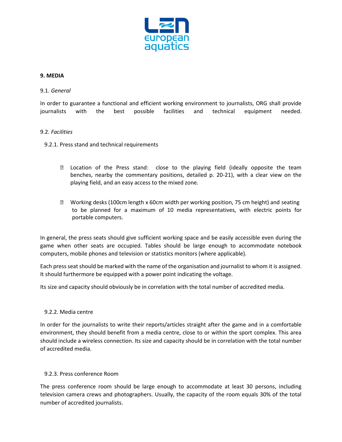

#### **9. MEDIA**

#### 9.1. *General*

In order to guarantee a functional and efficient working environment to journalists, ORG shall provide journalists with the best possible facilities and technical equipment needed.

#### 9.2. *Facilities*

- 9.2.1. Press stand and technical requirements
	- ' Location of the Press stand: close to the playing field (ideally opposite the team benches, nearby the commentary positions, detailed p. 20-21), with a clear view on the playing field, and an easy access to the mixed zone.
	- ' Working desks (100cm length x 60cm width per working position, 75 cm height) and seating to be planned for a maximum of 10 media representatives, with electric points for portable computers.

In general, the press seats should give sufficient working space and be easily accessible even during the game when other seats are occupied. Tables should be large enough to accommodate notebook computers, mobile phones and television or statistics monitors (where applicable).

Each press seat should be marked with the name of the organisation and journalist to whom it is assigned. It should furthermore be equipped with a power point indicating the voltage.

Its size and capacity should obviously be in correlation with the total number of accredited media.

#### 9.2.2. Media centre

In order for the journalists to write their reports/articles straight after the game and in a comfortable environment, they should benefit from a media centre, close to or within the sport complex. This area should include a wireless connection. Its size and capacity should be in correlation with the total number of accredited media.

#### 9.2.3. Press conference Room

The press conference room should be large enough to accommodate at least 30 persons, including television camera crews and photographers. Usually, the capacity of the room equals 30% of the total number of accredited journalists.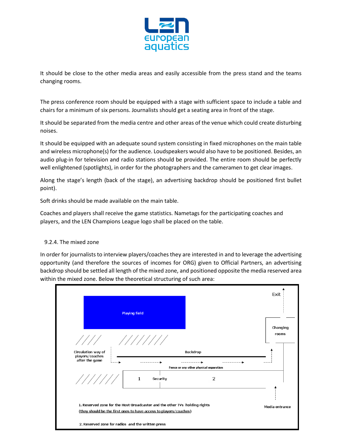

It should be close to the other media areas and easily accessible from the press stand and the teams changing rooms.

The press conference room should be equipped with a stage with sufficient space to include a table and chairs for a minimum of six persons. Journalists should get a seating area in front of the stage.

It should be separated from the media centre and other areas of the venue which could create disturbing noises.

It should be equipped with an adequate sound system consisting in fixed microphones on the main table and wireless microphone(s) for the audience. Loudspeakers would also have to be positioned. Besides, an audio plug-in for television and radio stations should be provided. The entire room should be perfectly well enlightened (spotlights), in order for the photographers and the cameramen to get clear images.

Along the stage's length (back of the stage), an advertising backdrop should be positioned first bullet point).

Soft drinks should be made available on the main table.

Coaches and players shall receive the game statistics. Nametags for the participating coaches and players, and the LEN Champions League logo shall be placed on the table.

#### 9.2.4. The mixed zone

In order for journalists to interview players/coaches they are interested in and to leverage the advertising opportunity (and therefore the sources of incomes for ORG) given to Official Partners, an advertising backdrop should be settled all length of the mixed zone, and positioned opposite the media reserved area within the mixed zone. Below the theoretical structuring of such area:

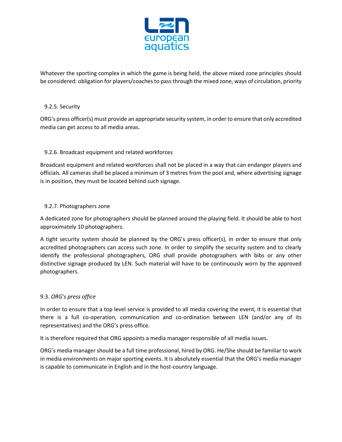

Whatever the sporting complex in which the game is being held, the above mixed zone principles should be considered: obligation for players/coaches to pass through the mixed zone, ways of circulation, priority

# 9.2.5. Security

ORG's press officer(s) must provide an appropriate security system, in order to ensure that only accredited media can get access to all media areas.

# 9.2.6. Broadcast equipment and related workforces

Broadcast equipment and related workforces shall not be placed in a way that can endanger players and officials. All cameras shall be placed a minimum of 3 metres from the pool and, where advertising signage is in position, they must be located behind such signage.

# 9.2.7. Photographers zone

A dedicated zone for photographers should be planned around the playing field. It should be able to host approximately 10 photographers.

A tight security system should be planned by the ORG's press officer(s), in order to ensure that only accredited photographers can access such zone. In order to simplify the security system and to clearly identify the professional photographers, ORG shall provide photographers with bibs or any other distinctive signage produced by LEN. Such material will have to be continuously worn by the approved photographers.

# 9.3. *ORG's press office*

In order to ensure that a top level service is provided to all media covering the event, it is essential that there is a full co-operation, communication and co-ordination between LEN (and/or any of its representatives) and the ORG's press office.

It is therefore required that ORG appoints a media manager responsible of all media issues.

ORG's media manager should be a full time professional, hired by ORG. He/She should be familiar to work in media environments on major sporting events. It is absolutely essential that the ORG's media manager is capable to communicate in English and in the host-country language.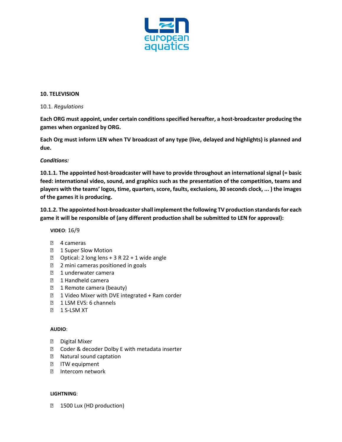

#### **10. TELEVISION**

## 10.1. *Regulations*

**Each ORG must appoint, under certain conditions specified hereafter, a host-broadcaster producing the games when organized by ORG.**

**Each Org must inform LEN when TV broadcast of any type (live, delayed and highlights) is planned and due.** 

# *Conditions:*

**10.1.1. The appointed host-broadcaster will have to provide throughout an international signal (= basic feed: international video, sound, and graphics such as the presentation of the competition, teams and players with the teams' logos, time, quarters, score, faults, exclusions, 30 seconds clock, ... ) the images of the games it is producing.**

**10.1.2. The appointed host-broadcaster shall implement the following TV production standards for each game it will be responsible of (any different production shall be submitted to LEN for approval):**

**VIDEO**: 16/9

- ' 4 cameras
- 1 Super Slow Motion
- ' Optical: 2 long lens + 3 R 22 + 1 wide angle
- 2 mini cameras positioned in goals
- 1 underwater camera
- 1 Handheld camera
- 1 Remote camera (beauty)
- ' 1 Video Mixer with DVE integrated + Ram corder
- 1 LSM EVS: 6 channels
- 1 S-LSM XT

#### **AUDIO**:

- ' Digital Mixer
- , Coder & decoder Dolby E with metadata inserter
- Natural sound captation
- ITW equipment
- ' Intercom network

#### **LIGHTNING**:

1500 Lux (HD production)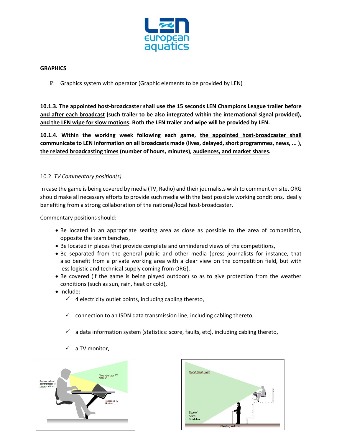

## **GRAPHICS**

' Graphics system with operator (Graphic elements to be provided by LEN)

**10.1.3. The appointed host-broadcaster shall use the 15 seconds LEN Champions League trailer before and after each broadcast (such trailer to be also integrated within the international signal provided), and the LEN wipe for slow motions. Both the LEN trailer and wipe will be provided by LEN.**

**10.1.4. Within the working week following each game, the appointed host-broadcaster shall communicate to LEN information on all broadcasts made (lives, delayed, short programmes, news, ... ), the related broadcasting times (number of hours, minutes), audiences, and market shares.**

# 10.2. *TV Commentary position(s)*

In case the game is being covered by media (TV, Radio) and their journalists wish to comment on site, ORG should make all necessary efforts to provide such media with the best possible working conditions, ideally benefiting from a strong collaboration of the national/local host-broadcaster.

Commentary positions should:

- Be located in an appropriate seating area as close as possible to the area of competition, opposite the team benches,
- Be located in places that provide complete and unhindered views of the competitions,
- Be separated from the general public and other media (press journalists for instance, that also benefit from a private working area with a clear view on the competition field, but with less logistic and technical supply coming from ORG),
- Be covered (if the game is being played outdoor) so as to give protection from the weather conditions (such as sun, rain, heat or cold),
- Include:
	- $\checkmark$  4 electricity outlet points, including cabling thereto,
	- $\checkmark$  connection to an ISDN data transmission line, including cabling thereto,
	- $\checkmark$  a data information system (statistics: score, faults, etc), including cabling thereto,
	- $\checkmark$  a TV monitor,